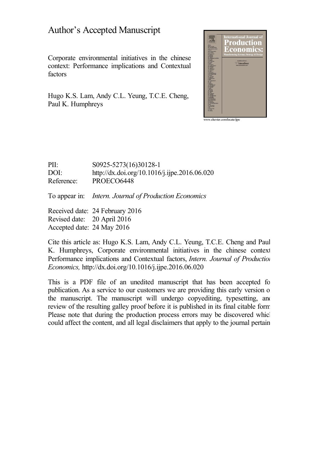# Author's Accepted Manuscript

Corporate environmental initiatives in the chinese context: Performance implications and Contextual factors

Hugo K.S. Lam, Andy C.L. Yeung, T.C.E. Cheng, Paul K. Humphreys



PII: S0925-5273(16)30128-1 DOI: <http://dx.doi.org/10.1016/j.ijpe.2016.06.020>

Reference: PROECO6448

To appear in: *Intern. Journal of Production Economics*

Received date: 24 February 2016 Revised date: 20 April 2016 Accepted date: 24 May 2016

Cite this article as: Hugo K.S. Lam, Andy C.L. Yeung, T.C.E. Cheng and Paul K. Humphreys, Corporate environmental initiatives in the chinese context Performance implications and Contextual factors, *Intern. Journal of Production Economics,* <http://dx.doi.org/10.1016/j.ijpe.2016.06.020>

This is a PDF file of an unedited manuscript that has been accepted for publication. As a service to our customers we are providing this early version of the manuscript. The manuscript will undergo copyediting, typesetting, and review of the resulting galley proof before it is published in its final citable form. Please note that during the production process errors may be discovered which could affect the content, and all legal disclaimers that apply to the journal pertain.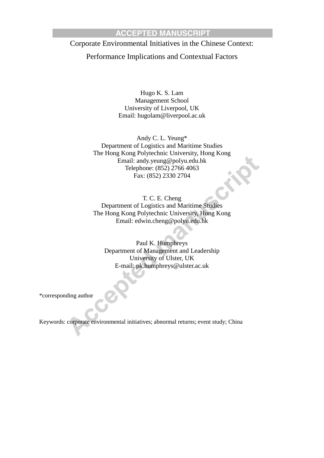## Corporate Environmental Initiatives in the Chinese Context:

Performance Implications and Contextual Factors

Hugo K. S. Lam Management School University of Liverpool, UK Email: hugolam@liverpool.ac.uk

Andy C. L. Yeung\* Department of Logistics and Maritime Studies The Hong Kong Polytechnic University, Hong Kong Email: andy.yeung@polyu.edu.hk Telephone: (852) 2766 4063 Fax: (852) 2330 2704

T. C. E. Cheng Department of Logistics and Maritime Studies The Hong Kong Polytechnic University, Hong Kong Email: edwin.cheng@polyu.edu.hk

Paul K. Humphreys Department of Management and Leadership University of Ulster, UK E-mail: pk.humphreys@ulster.ac.uk

\*corresponding author

Keywords: corporate environmental initiatives; abnormal returns; event study; China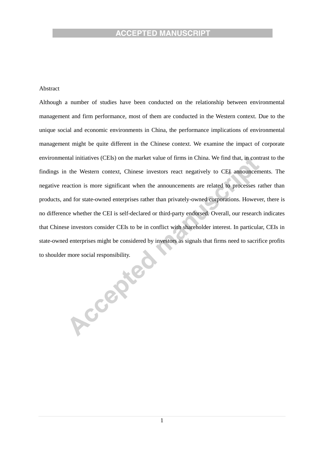#### Abstract

Although a number of studies have been conducted on the relationship between environmental management and firm performance, most of them are conducted in the Western context. Due to the unique social and economic environments in China, the performance implications of environmental management might be quite different in the Chinese context. We examine the impact of corporate environmental initiatives (CEIs) on the market value of firms in China. We find that, in contrast to the findings in the Western context, Chinese investors react negatively to CEI announcements. The negative reaction is more significant when the announcements are related to processes rather than products, and for state-owned enterprises rather than privately-owned corporations. However, there is no difference whether the CEI is self-declared or third-party endorsed. Overall, our research indicates that Chinese investors consider CEIs to be in conflict with shareholder interest. In particular, CEIs in state-owned enterprises might be considered by investors as signals that firms need to sacrifice profits to shoulder more social responsibility.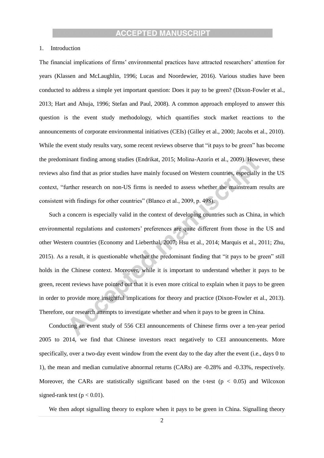#### 1. Introduction

The financial implications of firms' environmental practices have attracted researchers' attention for years (Klassen and McLaughlin, 1996; Lucas and Noordewier, 2016). Various studies have been conducted to address a simple yet important question: Does it pay to be green? (Dixon-Fowler et al., 2013; Hart and Ahuja, 1996; Stefan and Paul, 2008). A common approach employed to answer this question is the event study methodology, which quantifies stock market reactions to the announcements of corporate environmental initiatives (CEIs) (Gilley et al., 2000; Jacobs et al., 2010). While the event study results vary, some recent reviews observe that "it pays to be green" has become the predominant finding among studies (Endrikat, 2015; Molina-Azorín et al., 2009). However, these reviews also find that as prior studies have mainly focused on Western countries, especially in the US context, "further research on non-US firms is needed to assess whether the mainstream results are consistent with findings for other countries" (Blanco et al., 2009, p. 498).

Such a concern is especially valid in the context of developing countries such as China, in which environmental regulations and customers' preferences are quite different from those in the US and other Western countries (Economy and Lieberthal, 2007; Hsu et al., 2014; Marquis et al., 2011; Zhu, 2015). As a result, it is questionable whether the predominant finding that "it pays to be green" still holds in the Chinese context. Moreover, while it is important to understand whether it pays to be green, recent reviews have pointed out that it is even more critical to explain when it pays to be green in order to provide more insightful implications for theory and practice (Dixon-Fowler et al., 2013). Therefore, our research attempts to investigate whether and when it pays to be green in China.

Conducting an event study of 556 CEI announcements of Chinese firms over a ten-year period 2005 to 2014, we find that Chinese investors react negatively to CEI announcements. More specifically, over a two-day event window from the event day to the day after the event (i.e., days 0 to 1), the mean and median cumulative abnormal returns (CARs) are -0.28% and -0.33%, respectively. Moreover, the CARs are statistically significant based on the t-test ( $p < 0.05$ ) and Wilcoxon signed-rank test ( $p < 0.01$ ).

We then adopt signalling theory to explore when it pays to be green in China. Signalling theory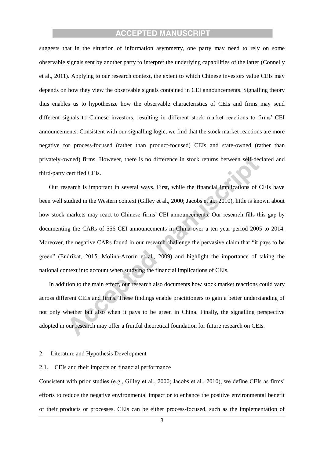suggests that in the situation of information asymmetry, one party may need to rely on some observable signals sent by another party to interpret the underlying capabilities of the latter (Connelly et al., 2011). Applying to our research context, the extent to which Chinese investors value CEIs may depends on how they view the observable signals contained in CEI announcements. Signalling theory thus enables us to hypothesize how the observable characteristics of CEIs and firms may send different signals to Chinese investors, resulting in different stock market reactions to firms' CEI announcements. Consistent with our signalling logic, we find that the stock market reactions are more negative for process-focused (rather than product-focused) CEIs and state-owned (rather than privately-owned) firms. However, there is no difference in stock returns between self-declared and third-party certified CEIs.

Our research is important in several ways. First, while the financial implications of CEIs have been well studied in the Western context (Gilley et al., 2000; Jacobs et al., 2010), little is known about how stock markets may react to Chinese firms' CEI announcements. Our research fills this gap by documenting the CARs of 556 CEI announcements in China over a ten-year period 2005 to 2014. Moreover, the negative CARs found in our research challenge the pervasive claim that "it pays to be green" (Endrikat, 2015; Molina-Azorín et al., 2009) and highlight the importance of taking the national context into account when studying the financial implications of CEIs.

In addition to the main effect, our research also documents how stock market reactions could vary across different CEIs and firms. These findings enable practitioners to gain a better understanding of not only whether but also when it pays to be green in China. Finally, the signalling perspective adopted in our research may offer a fruitful theoretical foundation for future research on CEIs.

#### 2. Literature and Hypothesis Development

#### 2.1. CEIs and their impacts on financial performance

Consistent with prior studies (e.g., Gilley et al., 2000; Jacobs et al., 2010), we define CEIs as firms' efforts to reduce the negative environmental impact or to enhance the positive environmental benefit of their products or processes. CEIs can be either process-focused, such as the implementation of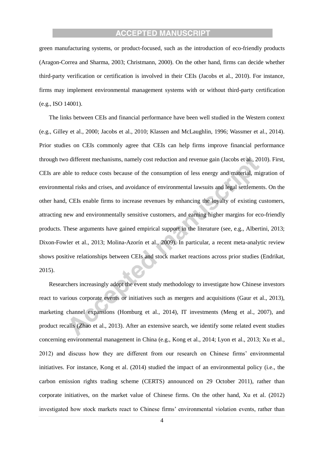green manufacturing systems, or product-focused, such as the introduction of eco-friendly products (Aragon-Correa and Sharma, 2003; Christmann, 2000). On the other hand, firms can decide whether third-party verification or certification is involved in their CEIs (Jacobs et al., 2010). For instance, firms may implement environmental management systems with or without third-party certification (e.g., ISO 14001).

The links between CEIs and financial performance have been well studied in the Western context (e.g., Gilley et al., 2000; Jacobs et al., 2010; Klassen and McLaughlin, 1996; Wassmer et al., 2014). Prior studies on CEIs commonly agree that CEIs can help firms improve financial performance through two different mechanisms, namely cost reduction and revenue gain (Jacobs et al., 2010). First, CEIs are able to reduce costs because of the consumption of less energy and material, migration of environmental risks and crises, and avoidance of environmental lawsuits and legal settlements. On the other hand, CEIs enable firms to increase revenues by enhancing the loyalty of existing customers, attracting new and environmentally sensitive customers, and earning higher margins for eco-friendly products. These arguments have gained empirical support in the literature (see, e.g., Albertini, 2013; Dixon-Fowler et al., 2013; Molina-Azorín et al., 2009). In particular, a recent meta-analytic review shows positive relationships between CEIs and stock market reactions across prior studies (Endrikat, 2015).

Researchers increasingly adopt the event study methodology to investigate how Chinese investors react to various corporate events or initiatives such as mergers and acquisitions (Gaur et al., 2013), marketing channel expansions (Homburg et al., 2014), IT investments (Meng et al., 2007), and product recalls (Zhao et al., 2013). After an extensive search, we identify some related event studies concerning environmental management in China (e.g., Kong et al., 2014; Lyon et al., 2013; Xu et al., 2012) and discuss how they are different from our research on Chinese firms' environmental initiatives. For instance, Kong et al. (2014) studied the impact of an environmental policy (i.e., the carbon emission rights trading scheme (CERTS) announced on 29 October 2011), rather than corporate initiatives, on the market value of Chinese firms. On the other hand, Xu et al. (2012) investigated how stock markets react to Chinese firms' environmental violation events, rather than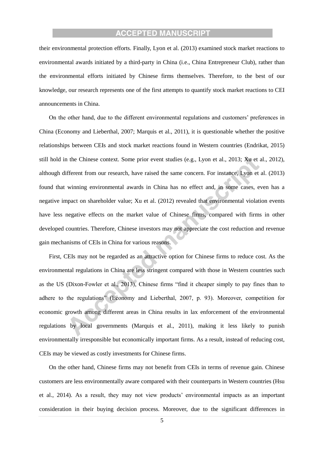their environmental protection efforts. Finally, Lyon et al. (2013) examined stock market reactions to environmental awards initiated by a third-party in China (i.e., China Entrepreneur Club), rather than the environmental efforts initiated by Chinese firms themselves. Therefore, to the best of our knowledge, our research represents one of the first attempts to quantify stock market reactions to CEI announcements in China.

On the other hand, due to the different environmental regulations and customers' preferences in China (Economy and Lieberthal, 2007; Marquis et al., 2011), it is questionable whether the positive relationships between CEIs and stock market reactions found in Western countries (Endrikat, 2015) still hold in the Chinese context. Some prior event studies (e.g., Lyon et al., 2013; Xu et al., 2012), although different from our research, have raised the same concern. For instance, Lyon et al. (2013) found that winning environmental awards in China has no effect and, in some cases, even has a negative impact on shareholder value; Xu et al. (2012) revealed that environmental violation events have less negative effects on the market value of Chinese firms, compared with firms in other developed countries. Therefore, Chinese investors may not appreciate the cost reduction and revenue gain mechanisms of CEIs in China for various reasons.

First, CEIs may not be regarded as an attractive option for Chinese firms to reduce cost. As the environmental regulations in China are less stringent compared with those in Western countries such as the US (Dixon-Fowler et al., 2013), Chinese firms "find it cheaper simply to pay fines than to adhere to the regulations" (Economy and Lieberthal, 2007, p. 93). Moreover, competition for economic growth among different areas in China results in lax enforcement of the environmental regulations by local governments (Marquis et al., 2011), making it less likely to punish environmentally irresponsible but economically important firms. As a result, instead of reducing cost, CEIs may be viewed as costly investments for Chinese firms.

On the other hand, Chinese firms may not benefit from CEIs in terms of revenue gain. Chinese customers are less environmentally aware compared with their counterparts in Western countries (Hsu et al., 2014). As a result, they may not view products' environmental impacts as an important consideration in their buying decision process. Moreover, due to the significant differences in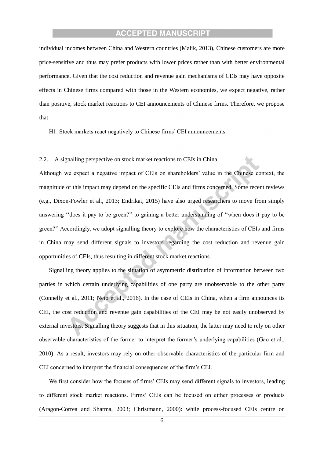individual incomes between China and Western countries (Malik, 2013), Chinese customers are more price-sensitive and thus may prefer products with lower prices rather than with better environmental performance. Given that the cost reduction and revenue gain mechanisms of CEIs may have opposite effects in Chinese firms compared with those in the Western economies, we expect negative, rather than positive, stock market reactions to CEI announcements of Chinese firms. Therefore, we propose that

H1. Stock markets react negatively to Chinese firms' CEI announcements.

#### 2.2. A signalling perspective on stock market reactions to CEIs in China

Although we expect a negative impact of CEIs on shareholders' value in the Chinese context, the magnitude of this impact may depend on the specific CEIs and firms concerned. Some recent reviews (e.g., Dixon-Fowler et al., 2013; Endrikat, 2015) have also urged researchers to move from simply answering ''does it pay to be green?'' to gaining a better understanding of ''when does it pay to be green?'' Accordingly, we adopt signalling theory to explore how the characteristics of CEIs and firms in China may send different signals to investors regarding the cost reduction and revenue gain opportunities of CEIs, thus resulting in different stock market reactions.

Signalling theory applies to the situation of asymmetric distribution of information between two parties in which certain underlying capabilities of one party are unobservable to the other party (Connelly et al., 2011; Neto et al., 2016). In the case of CEIs in China, when a firm announces its CEI, the cost reduction and revenue gain capabilities of the CEI may be not easily unobserved by external investors. Signalling theory suggests that in this situation, the latter may need to rely on other observable characteristics of the former to interpret the former's underlying capabilities (Gao et al., 2010). As a result, investors may rely on other observable characteristics of the particular firm and CEI concerned to interpret the financial consequences of the firm's CEI.

We first consider how the focuses of firms' CEIs may send different signals to investors, leading to different stock market reactions. Firms' CEIs can be focused on either processes or products (Aragon-Correa and Sharma, 2003; Christmann, 2000): while process-focused CEIs centre on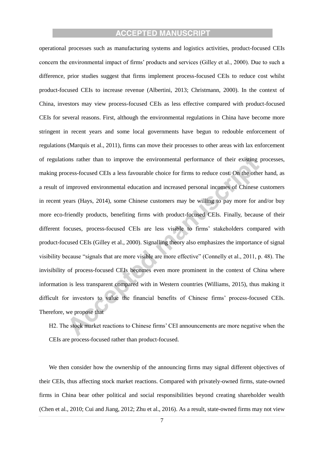operational processes such as manufacturing systems and logistics activities, product-focused CEIs concern the environmental impact of firms' products and services (Gilley et al., 2000). Due to such a difference, prior studies suggest that firms implement process-focused CEIs to reduce cost whilst product-focused CEIs to increase revenue (Albertini, 2013; Christmann, 2000). In the context of China, investors may view process-focused CEIs as less effective compared with product-focused CEIs for several reasons. First, although the environmental regulations in China have become more stringent in recent years and some local governments have begun to redouble enforcement of regulations (Marquis et al., 2011), firms can move their processes to other areas with lax enforcement of regulations rather than to improve the environmental performance of their existing processes, making process-focused CEIs a less favourable choice for firms to reduce cost. On the other hand, as a result of improved environmental education and increased personal incomes of Chinese customers in recent years (Hays, 2014), some Chinese customers may be willing to pay more for and/or buy more eco-friendly products, benefiting firms with product-focused CEIs. Finally, because of their different focuses, process-focused CEIs are less visible to firms' stakeholders compared with product-focused CEIs (Gilley et al., 2000). Signalling theory also emphasizes the importance of signal visibility because "signals that are more visible are more effective" (Connelly et al., 2011, p. 48). The invisibility of process-focused CEIs becomes even more prominent in the context of China where information is less transparent compared with in Western countries (Williams, 2015), thus making it difficult for investors to value the financial benefits of Chinese firms' process-focused CEIs. Therefore, we propose that

H2. The stock market reactions to Chinese firms' CEI announcements are more negative when the CEIs are process-focused rather than product-focused.

We then consider how the ownership of the announcing firms may signal different objectives of their CEIs, thus affecting stock market reactions. Compared with privately-owned firms, state-owned firms in China bear other political and social responsibilities beyond creating shareholder wealth (Chen et al., 2010; Cui and Jiang, 2012; Zhu et al., 2016). As a result, state-owned firms may not view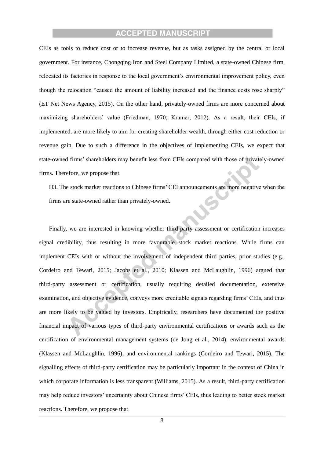CEIs as tools to reduce cost or to increase revenue, but as tasks assigned by the central or local government. For instance, Chongqing Iron and Steel Company Limited, a state-owned Chinese firm, relocated its factories in response to the local government's environmental improvement policy, even though the relocation "caused the amount of liability increased and the finance costs rose sharply" (ET Net News Agency, 2015). On the other hand, privately-owned firms are more concerned about maximizing shareholders' value (Friedman, 1970; Kramer, 2012). As a result, their CEIs, if implemented, are more likely to aim for creating shareholder wealth, through either cost reduction or revenue gain. Due to such a difference in the objectives of implementing CEIs, we expect that state-owned firms' shareholders may benefit less from CEIs compared with those of privately-owned firms. Therefore, we propose that

H3. The stock market reactions to Chinese firms' CEI announcements are more negative when the firms are state-owned rather than privately-owned.

Finally, we are interested in knowing whether third-party assessment or certification increases signal credibility, thus resulting in more favourable stock market reactions. While firms can implement CEIs with or without the involvement of independent third parties, prior studies (e.g., Cordeiro and Tewari, 2015; Jacobs et al., 2010; Klassen and McLaughlin, 1996) argued that third-party assessment or certification, usually requiring detailed documentation, extensive examination, and objective evidence, conveys more creditable signals regarding firms' CEIs, and thus are more likely to be valued by investors. Empirically, researchers have documented the positive financial impact of various types of third-party environmental certifications or awards such as the certification of environmental management systems (de Jong et al., 2014), environmental awards (Klassen and McLaughlin, 1996), and environmental rankings (Cordeiro and Tewari, 2015). The signalling effects of third-party certification may be particularly important in the context of China in which corporate information is less transparent (Williams, 2015). As a result, third-party certification may help reduce investors' uncertainty about Chinese firms' CEIs, thus leading to better stock market reactions. Therefore, we propose that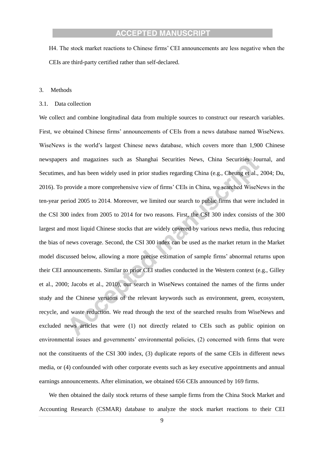H4. The stock market reactions to Chinese firms' CEI announcements are less negative when the CEIs are third-party certified rather than self-declared.

#### 3. Methods

#### 3.1. Data collection

We collect and combine longitudinal data from multiple sources to construct our research variables. First, we obtained Chinese firms' announcements of CEIs from a news database named WiseNews. WiseNews is the world's largest Chinese news database, which covers more than 1,900 Chinese newspapers and magazines such as Shanghai Securities News, China Securities Journal, and Secutimes, and has been widely used in prior studies regarding China (e.g., Cheung et al., 2004; Du, 2016). To provide a more comprehensive view of firms' CEIs in China, we searched WiseNews in the ten-year period 2005 to 2014. Moreover, we limited our search to public firms that were included in the CSI 300 index from 2005 to 2014 for two reasons. First, the CSI 300 index consists of the 300 largest and most liquid Chinese stocks that are widely covered by various news media, thus reducing the bias of news coverage. Second, the CSI 300 index can be used as the market return in the Market model discussed below, allowing a more precise estimation of sample firms' abnormal returns upon their CEI announcements. Similar to prior CEI studies conducted in the Western context (e.g., Gilley et al., 2000; Jacobs et al., 2010), our search in WiseNews contained the names of the firms under study and the Chinese versions of the relevant keywords such as environment, green, ecosystem, recycle, and waste reduction. We read through the text of the searched results from WiseNews and excluded news articles that were (1) not directly related to CEIs such as public opinion on environmental issues and governments' environmental policies, (2) concerned with firms that were not the constituents of the CSI 300 index, (3) duplicate reports of the same CEIs in different news media, or (4) confounded with other corporate events such as key executive appointments and annual earnings announcements. After elimination, we obtained 656 CEIs announced by 169 firms.

We then obtained the daily stock returns of these sample firms from the China Stock Market and Accounting Research (CSMAR) database to analyze the stock market reactions to their CEI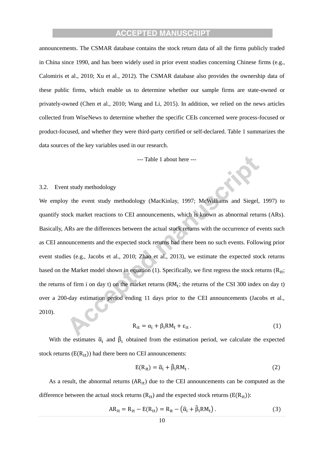announcements. The CSMAR database contains the stock return data of all the firms publicly traded in China since 1990, and has been widely used in prior event studies concerning Chinese firms (e.g., Calomiris et al., 2010; Xu et al., 2012). The CSMAR database also provides the ownership data of these public firms, which enable us to determine whether our sample firms are state-owned or privately-owned (Chen et al., 2010; Wang and Li, 2015). In addition, we relied on the news articles collected from WiseNews to determine whether the specific CEIs concerned were process-focused or product-focused, and whether they were third-party certified or self-declared. Table 1 summarizes the data sources of the key variables used in our research.

--- Table 1 about here ---

#### 3.2. Event study methodology

We employ the event study methodology (MacKinlay, 1997; McWilliams and Siegel, 1997) to quantify stock market reactions to CEI announcements, which is known as abnormal returns (ARs). Basically, ARs are the differences between the actual stock returns with the occurrence of events such as CEI announcements and the expected stock returns had there been no such events. Following prior event studies (e.g., Jacobs et al., 2010; Zhao et al., 2013), we estimate the expected stock returns based on the Market model shown in equation (1). Specifically, we first regress the stock returns ( $R_{it}$ ; the returns of firm i on day t) on the market returns  $(RM_t;$  the returns of the CSI 300 index on day t) over a 200-day estimation period ending 11 days prior to the CEI announcements (Jacobs et al., 2010).

$$
R_{it} = \alpha_i + \beta_i RM_t + \varepsilon_{it} \,. \tag{1}
$$

With the estimates  $\hat{\alpha}_i$  and  $\hat{\beta}_i$  obtained from the estimation period, we calculate the expected stock returns  $(E(R_{it}))$  had there been no CEI announcements:

$$
E(R_{it}) = \hat{\alpha}_i + \hat{\beta}_i RM_t.
$$
 (2)

As a result, the abnormal returns  $(AR_{it})$  due to the CEI announcements can be computed as the difference between the actual stock returns  $(R_{it})$  and the expected stock returns  $(E(R_{it}))$ :

$$
AR_{it} = R_{it} - E(R_{it}) = R_{it} - (\hat{\alpha}_i + \hat{\beta}_i RM_t).
$$
 (3)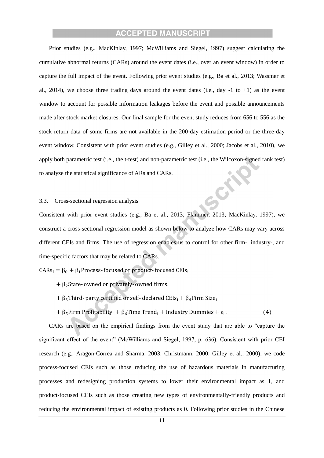Prior studies (e.g., MacKinlay, 1997; McWilliams and Siegel, 1997) suggest calculating the cumulative abnormal returns (CARs) around the event dates (i.e., over an event window) in order to capture the full impact of the event. Following prior event studies (e.g., Ba et al., 2013; Wassmer et al., 2014), we choose three trading days around the event dates (i.e., day  $-1$  to  $+1$ ) as the event window to account for possible information leakages before the event and possible announcements made after stock market closures. Our final sample for the event study reduces from 656 to 556 as the stock return data of some firms are not available in the 200-day estimation period or the three-day event window. Consistent with prior event studies (e.g., Gilley et al., 2000; Jacobs et al., 2010), we apply both parametric test (i.e., the t-test) and non-parametric test (i.e., the Wilcoxon-signed rank test) to analyze the statistical significance of ARs and CARs.

#### 3.3. Cross-sectional regression analysis

Consistent with prior event studies (e.g., Ba et al., 2013; Flammer, 2013; MacKinlay, 1997), we construct a cross-sectional regression model as shown below to analyze how CARs may vary across different CEIs and firms. The use of regression enables us to control for other firm-, industry-, and time-specific factors that may be related to CARs.

 $CARS_i = \beta_0 + \beta_1$ Process-focused or product-focused CEIs<sub>i</sub>

- +  $\beta_2$ State-owned or privately-owned firms<sub>i</sub>
- +  $\beta_3$ Third- party certified or self-declared CEIs<sub>i</sub> +  $\beta_4$ Firm Size<sub>i</sub>
- +  $\beta_5$ Firm Profitability<sub>i</sub> +  $\beta_6$ Time Trend<sub>i</sub> + Industry Dummies +  $\varepsilon_i$ . . (4)

CARs are based on the empirical findings from the event study that are able to "capture the significant effect of the event" (McWilliams and Siegel, 1997, p. 636). Consistent with prior CEI research (e.g., Aragon-Correa and Sharma, 2003; Christmann, 2000; Gilley et al., 2000), we code process-focused CEIs such as those reducing the use of hazardous materials in manufacturing processes and redesigning production systems to lower their environmental impact as 1, and product-focused CEIs such as those creating new types of environmentally-friendly products and reducing the environmental impact of existing products as 0. Following prior studies in the Chinese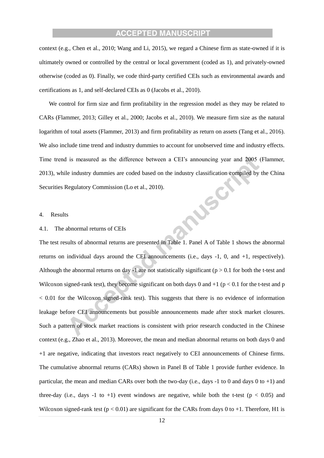context (e.g., Chen et al., 2010; Wang and Li, 2015), we regard a Chinese firm as state-owned if it is ultimately owned or controlled by the central or local government (coded as 1), and privately-owned otherwise (coded as 0). Finally, we code third-party certified CEIs such as environmental awards and certifications as 1, and self-declared CEIs as 0 (Jacobs et al., 2010).

We control for firm size and firm profitability in the regression model as they may be related to CARs (Flammer, 2013; Gilley et al., 2000; Jacobs et al., 2010). We measure firm size as the natural logarithm of total assets (Flammer, 2013) and firm profitability as return on assets (Tang et al., 2016). We also include time trend and industry dummies to account for unobserved time and industry effects. Time trend is measured as the difference between a CEI's announcing year and 2005 (Flammer, 2013), while industry dummies are coded based on the industry classification compiled by the China **PLASH** Securities Regulatory Commission (Lo et al., 2010).

#### 4. Results

#### 4.1. The abnormal returns of CEIs

The test results of abnormal returns are presented in Table 1. Panel A of Table 1 shows the abnormal returns on individual days around the CEI announcements (i.e., days -1, 0, and +1, respectively). Although the abnormal returns on day -1 are not statistically significant ( $p > 0.1$  for both the t-test and Wilcoxon signed-rank test), they become significant on both days 0 and  $+1$  ( $p < 0.1$  for the t-test and p < 0.01 for the Wilcoxon signed-rank test). This suggests that there is no evidence of information leakage before CEI announcements but possible announcements made after stock market closures. Such a pattern of stock market reactions is consistent with prior research conducted in the Chinese context (e.g., Zhao et al., 2013). Moreover, the mean and median abnormal returns on both days 0 and +1 are negative, indicating that investors react negatively to CEI announcements of Chinese firms. The cumulative abnormal returns (CARs) shown in Panel B of Table 1 provide further evidence. In particular, the mean and median CARs over both the two-day (i.e., days -1 to 0 and days 0 to +1) and three-day (i.e., days -1 to +1) event windows are negative, while both the t-test ( $p < 0.05$ ) and Wilcoxon signed-rank test ( $p < 0.01$ ) are significant for the CARs from days 0 to +1. Therefore, H1 is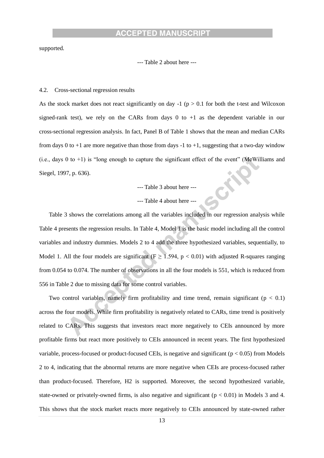supported.

--- Table 2 about here ---

#### 4.2. Cross-sectional regression results

As the stock market does not react significantly on day  $-1$  ( $p > 0.1$  for both the t-test and Wilcoxon signed-rank test), we rely on the CARs from days  $0$  to  $+1$  as the dependent variable in our cross-sectional regression analysis. In fact, Panel B of Table 1 shows that the mean and median CARs from days 0 to  $+1$  are more negative than those from days  $-1$  to  $+1$ , suggesting that a two-day window (i.e., days 0 to  $+1$ ) is "long enough to capture the significant effect of the event" (McWilliams and Siegel, 1997, p. 636).

--- Table 3 about here ---

# --- Table 4 about here ---

Table 3 shows the correlations among all the variables included in our regression analysis while Table 4 presents the regression results. In Table 4, Model 1 is the basic model including all the control variables and industry dummies. Models 2 to 4 add the three hypothesized variables, sequentially, to Model 1. All the four models are significant ( $F \ge 1.594$ ,  $p < 0.01$ ) with adjusted R-squares ranging from 0.054 to 0.074. The number of observations in all the four models is 551, which is reduced from 556 in Table 2 due to missing data for some control variables.

Two control variables, namely firm profitability and time trend, remain significant ( $p < 0.1$ ) across the four models. While firm profitability is negatively related to CARs, time trend is positively related to CARs. This suggests that investors react more negatively to CEIs announced by more profitable firms but react more positively to CEIs announced in recent years. The first hypothesized variable, process-focused or product-focused CEIs, is negative and significant ( $p < 0.05$ ) from Models 2 to 4, indicating that the abnormal returns are more negative when CEIs are process-focused rather than product-focused. Therefore, H2 is supported. Moreover, the second hypothesized variable, state-owned or privately-owned firms, is also negative and significant ( $p < 0.01$ ) in Models 3 and 4. This shows that the stock market reacts more negatively to CEIs announced by state-owned rather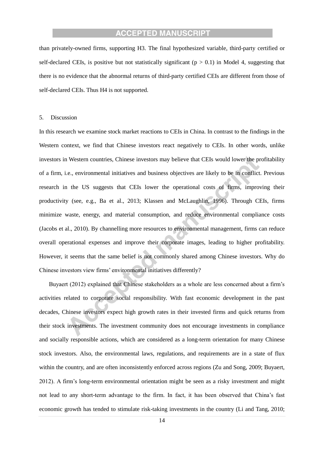than privately-owned firms, supporting H3. The final hypothesized variable, third-party certified or self-declared CEIs, is positive but not statistically significant ( $p > 0.1$ ) in Model 4, suggesting that there is no evidence that the abnormal returns of third-party certified CEIs are different from those of self-declared CEIs. Thus H4 is not supported.

#### 5. Discussion

In this research we examine stock market reactions to CEIs in China. In contrast to the findings in the Western context, we find that Chinese investors react negatively to CEIs. In other words, unlike investors in Western countries, Chinese investors may believe that CEIs would lower the profitability of a firm, i.e., environmental initiatives and business objectives are likely to be in conflict. Previous research in the US suggests that CEIs lower the operational costs of firms, improving their productivity (see, e.g., Ba et al., 2013; Klassen and McLaughlin, 1996). Through CEIs, firms minimize waste, energy, and material consumption, and reduce environmental compliance costs (Jacobs et al., 2010). By channelling more resources to environmental management, firms can reduce overall operational expenses and improve their corporate images, leading to higher profitability. However, it seems that the same belief is not commonly shared among Chinese investors. Why do Chinese investors view firms' environmental initiatives differently?

Buyaert (2012) explained that Chinese stakeholders as a whole are less concerned about a firm's activities related to corporate social responsibility. With fast economic development in the past decades, Chinese investors expect high growth rates in their invested firms and quick returns from their stock investments. The investment community does not encourage investments in compliance and socially responsible actions, which are considered as a long-term orientation for many Chinese stock investors. Also, the environmental laws, regulations, and requirements are in a state of flux within the country, and are often inconsistently enforced across regions (Zu and Song, 2009; Buyaert, 2012). A firm's long-term environmental orientation might be seen as a risky investment and might not lead to any short-term advantage to the firm. In fact, it has been observed that China's fast economic growth has tended to stimulate risk-taking investments in the country (Li and Tang, 2010;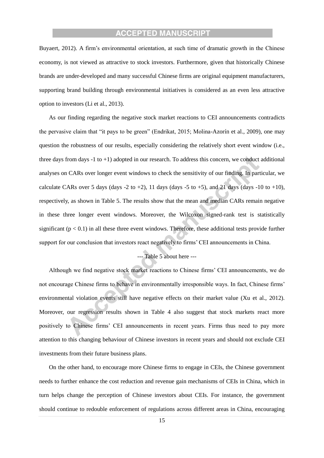Buyaert, 2012). A firm's environmental orientation, at such time of dramatic growth in the Chinese economy, is not viewed as attractive to stock investors. Furthermore, given that historically Chinese brands are under-developed and many successful Chinese firms are original equipment manufacturers, supporting brand building through environmental initiatives is considered as an even less attractive option to investors (Li et al., 2013).

As our finding regarding the negative stock market reactions to CEI announcements contradicts the pervasive claim that "it pays to be green" (Endrikat, 2015; Molina-Azorín et al., 2009), one may question the robustness of our results, especially considering the relatively short event window (i.e., three days from days -1 to +1) adopted in our research. To address this concern, we conduct additional analyses on CARs over longer event windows to check the sensitivity of our finding. In particular, we calculate CARs over 5 days (days -2 to +2), 11 days (days -5 to +5), and 21 days (days -10 to +10), respectively, as shown in Table 5. The results show that the mean and median CARs remain negative in these three longer event windows. Moreover, the Wilcoxon signed-rank test is statistically significant ( $p < 0.1$ ) in all these three event windows. Therefore, these additional tests provide further support for our conclusion that investors react negatively to firms' CEI announcements in China.

### --- Table 5 about here ---

Although we find negative stock market reactions to Chinese firms' CEI announcements, we do not encourage Chinese firms to behave in environmentally irresponsible ways. In fact, Chinese firms' environmental violation events still have negative effects on their market value (Xu et al., 2012). Moreover, our regression results shown in Table 4 also suggest that stock markets react more positively to Chinese firms' CEI announcements in recent years. Firms thus need to pay more attention to this changing behaviour of Chinese investors in recent years and should not exclude CEI investments from their future business plans.

On the other hand, to encourage more Chinese firms to engage in CEIs, the Chinese government needs to further enhance the cost reduction and revenue gain mechanisms of CEIs in China, which in turn helps change the perception of Chinese investors about CEIs. For instance, the government should continue to redouble enforcement of regulations across different areas in China, encouraging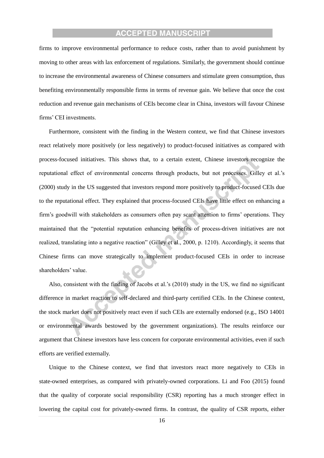firms to improve environmental performance to reduce costs, rather than to avoid punishment by moving to other areas with lax enforcement of regulations. Similarly, the government should continue to increase the environmental awareness of Chinese consumers and stimulate green consumption, thus benefiting environmentally responsible firms in terms of revenue gain. We believe that once the cost reduction and revenue gain mechanisms of CEIs become clear in China, investors will favour Chinese firms' CEI investments.

Furthermore, consistent with the finding in the Western context, we find that Chinese investors react relatively more positively (or less negatively) to product-focused initiatives as compared with process-focused initiatives. This shows that, to a certain extent, Chinese investors recognize the reputational effect of environmental concerns through products, but not processes. Gilley et al.'s (2000) study in the US suggested that investors respond more positively to product-focused CEIs due to the reputational effect. They explained that process-focused CEIs have little effect on enhancing a firm's goodwill with stakeholders as consumers often pay scant attention to firms' operations. They maintained that the "potential reputation enhancing benefits of process-driven initiatives are not realized, translating into a negative reaction" (Gilley et al., 2000, p. 1210). Accordingly, it seems that Chinese firms can move strategically to implement product-focused CEIs in order to increase shareholders' value.

Also, consistent with the finding of Jacobs et al.'s (2010) study in the US, we find no significant difference in market reaction to self-declared and third-party certified CEIs. In the Chinese context, the stock market does not positively react even if such CEIs are externally endorsed (e.g., ISO 14001 or environmental awards bestowed by the government organizations). The results reinforce our argument that Chinese investors have less concern for corporate environmental activities, even if such efforts are verified externally.

Unique to the Chinese context, we find that investors react more negatively to CEIs in state-owned enterprises, as compared with privately-owned corporations. Li and Foo (2015) found that the quality of corporate social responsibility (CSR) reporting has a much stronger effect in lowering the capital cost for privately-owned firms. In contrast, the quality of CSR reports, either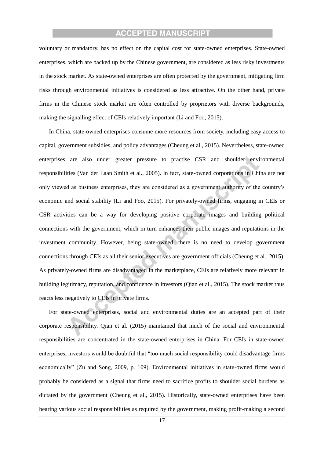voluntary or mandatory, has no effect on the capital cost for state-owned enterprises. State-owned enterprises, which are backed up by the Chinese government, are considered as less risky investments in the stock market. As state-owned enterprises are often protected by the government, mitigating firm risks through environmental initiatives is considered as less attractive. On the other hand, private firms in the Chinese stock market are often controlled by proprietors with diverse backgrounds, making the signalling effect of CEIs relatively important (Li and Foo, 2015).

In China, state-owned enterprises consume more resources from society, including easy access to capital, government subsidies, and policy advantages (Cheung et al., 2015). Nevertheless, state-owned enterprises are also under greater pressure to practise CSR and shoulder environmental responsibilities (Van der Laan Smith et al., 2005). In fact, state-owned corporations in China are not only viewed as business enterprises, they are considered as a government authority of the country's economic and social stability (Li and Foo, 2015). For privately-owned firms, engaging in CEIs or CSR activities can be a way for developing positive corporate images and building political connections with the government, which in turn enhances their public images and reputations in the investment community. However, being state-owned, there is no need to develop government connections through CEIs as all their senior executives are government officials (Cheung et al., 2015). As privately-owned firms are disadvantaged in the marketplace, CEIs are relatively more relevant in building legitimacy, reputation, and confidence in investors (Qian et al., 2015). The stock market thus reacts less negatively to CEIs in private firms.

For state-owned enterprises, social and environmental duties are an accepted part of their corporate responsibility. Qian et al. (2015) maintained that much of the social and environmental responsibilities are concentrated in the state-owned enterprises in China. For CEIs in state-owned enterprises, investors would be doubtful that "too much social responsibility could disadvantage firms economically" (Zu and Song, 2009, p. 109). Environmental initiatives in state-owned firms would probably be considered as a signal that firms need to sacrifice profits to shoulder social burdens as dictated by the government (Cheung et al., 2015). Historically, state-owned enterprises have been bearing various social responsibilities as required by the government, making profit-making a second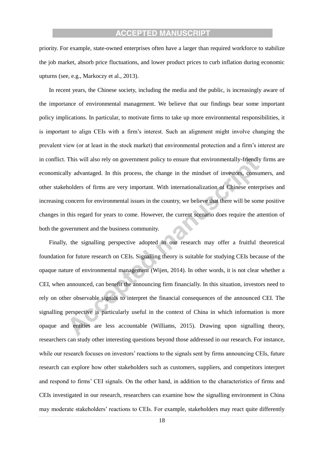priority. For example, state-owned enterprises often have a larger than required workforce to stabilize the job market, absorb price fluctuations, and lower product prices to curb inflation during economic upturns (see, e.g., Markoczy et al., 2013).

In recent years, the Chinese society, including the media and the public, is increasingly aware of the importance of environmental management. We believe that our findings bear some important policy implications. In particular, to motivate firms to take up more environmental responsibilities, it is important to align CEIs with a firm's interest. Such an alignment might involve changing the prevalent view (or at least in the stock market) that environmental protection and a firm's interest are in conflict. This will also rely on government policy to ensure that environmentally-friendly firms are economically advantaged. In this process, the change in the mindset of investors, consumers, and other stakeholders of firms are very important. With internationalization of Chinese enterprises and increasing concern for environmental issues in the country, we believe that there will be some positive changes in this regard for years to come. However, the current scenario does require the attention of both the government and the business community.

Finally, the signalling perspective adopted in our research may offer a fruitful theoretical foundation for future research on CEIs. Signalling theory is suitable for studying CEIs because of the opaque nature of environmental management (Wijen, 2014). In other words, it is not clear whether a CEI, when announced, can benefit the announcing firm financially. In this situation, investors need to rely on other observable signals to interpret the financial consequences of the announced CEI. The signalling perspective is particularly useful in the context of China in which information is more opaque and entities are less accountable (Williams, 2015). Drawing upon signalling theory, researchers can study other interesting questions beyond those addressed in our research. For instance, while our research focuses on investors' reactions to the signals sent by firms announcing CEIs, future research can explore how other stakeholders such as customers, suppliers, and competitors interpret and respond to firms' CEI signals. On the other hand, in addition to the characteristics of firms and CEIs investigated in our research, researchers can examine how the signalling environment in China may moderate stakeholders' reactions to CEIs. For example, stakeholders may react quite differently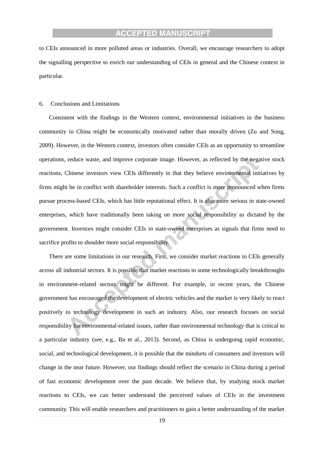to CEIs announced in more polluted areas or industries. Overall, we encourage researchers to adopt the signalling perspective to enrich our understanding of CEIs in general and the Chinese context in particular.

#### 6. Conclusions and Limitations

Consistent with the findings in the Western context, environmental initiatives in the business community in China might be economically motivated rather than morally driven (Zu and Song, 2009). However, in the Western context, investors often consider CEIs as an opportunity to streamline operations, reduce waste, and improve corporate image. However, as reflected by the negative stock reactions, Chinese investors view CEIs differently in that they believe environmental initiatives by firms might be in conflict with shareholder interests. Such a conflict is more pronounced when firms pursue process-based CEIs, which has little reputational effect. It is also more serious in state-owned enterprises, which have traditionally been taking on more social responsibility as dictated by the government. Investors might consider CEIs in state-owned enterprises as signals that firms need to sacrifice profits to shoulder more social responsibility.

There are some limitations in our research. First, we consider market reactions to CEIs generally across all industrial sectors. It is possible that market reactions to some technologically breakthroughs in environment-related sectors might be different. For example, in recent years, the Chinese government has encouraged the development of electric vehicles and the market is very likely to react positively to technology development in such an industry. Also, our research focuses on social responsibility for environmental-related issues, rather than environmental technology that is critical to a particular industry (see, e.g., Ba et al., 2013). Second, as China is undergoing rapid economic, social, and technological development, it is possible that the mindsets of consumers and investors will change in the near future. However, our findings should reflect the scenario in China during a period of fast economic development over the past decade. We believe that, by studying stock market reactions to CEIs, we can better understand the perceived values of CEIs in the investment community. This will enable researchers and practitioners to gain a better understanding of the market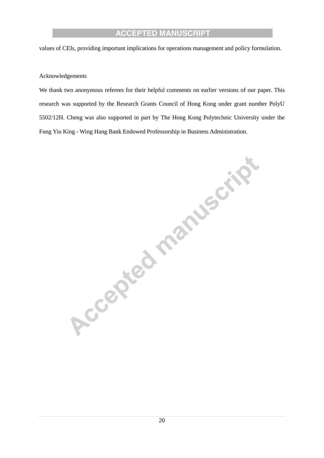values of CEIs, providing important implications for operations management and policy formulation.

#### Acknowledgements

We thank two anonymous referees for their helpful comments on earlier versions of our paper. This research was supported by the Research Grants Council of Hong Kong under grant number PolyU 5502/12H. Cheng was also supported in part by The Hong Kong Polytechnic University under the

Fung Yiu King - Wing Hang Bank Endowed Professorship in Business Administration.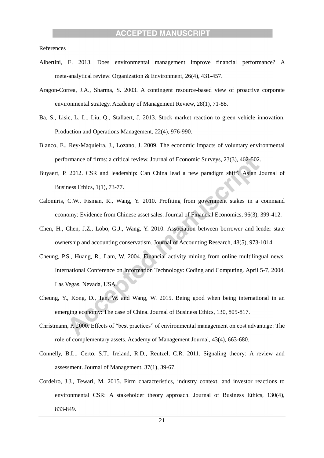References

- Albertini, E. 2013. Does environmental management improve financial performance? A meta-analytical review. Organization & Environment, 26(4), 431-457.
- Aragon-Correa, J.A., Sharma, S. 2003. A contingent resource-based view of proactive corporate environmental strategy. Academy of Management Review, 28(1), 71-88.
- Ba, S., Lisic, L. L., Liu, Q., Stallaert, J. 2013. Stock market reaction to green vehicle innovation. Production and Operations Management, 22(4), 976-990.
- Blanco, E., Rey‐Maquieira, J., Lozano, J. 2009. The economic impacts of voluntary environmental performance of firms: a critical review. Journal of Economic Surveys, 23(3), 462-502.
- Buyaert, P. 2012. CSR and leadership: Can China lead a new paradigm shift? Asian Journal of Business Ethics, 1(1), 73-77.
- Calomiris, C.W., Fisman, R., Wang, Y. 2010. Profiting from government stakes in a command economy: Evidence from Chinese asset sales. Journal of Financial Economics, 96(3), 399-412.
- Chen, H., Chen, J.Z., Lobo, G.J., Wang, Y. 2010. Association between borrower and lender state ownership and accounting conservatism. Journal of Accounting Research, 48(5), 973-1014.
- Cheung, P.S., Huang, R., Lam, W. 2004. Financial activity mining from online multilingual news. International Conference on Information Technology: Coding and Computing. April 5-7, 2004, Las Vegas, Nevada, USA.
- Cheung, Y., Kong, D., Tan, W. and Wang, W. 2015. Being good when being international in an emerging economy: The case of China. Journal of Business Ethics, 130, 805-817.
- Christmann, P. 2000. Effects of "best practices" of environmental management on cost advantage: The role of complementary assets. Academy of Management Journal, 43(4), 663-680.
- Connelly, B.L., Certo, S.T., Ireland, R.D., Reutzel, C.R. 2011. Signaling theory: A review and assessment. Journal of Management, 37(1), 39-67.
- Cordeiro, J.J., Tewari, M. 2015. Firm characteristics, industry context, and investor reactions to environmental CSR: A stakeholder theory approach. Journal of Business Ethics, 130(4), 833-849.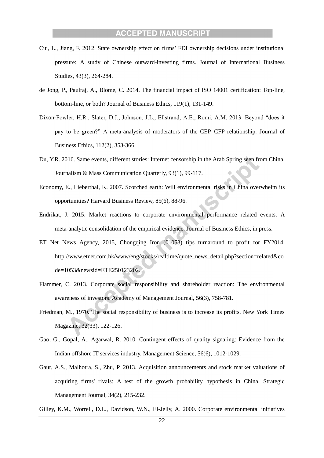- Cui, L., Jiang, F. 2012. State ownership effect on firms' FDI ownership decisions under institutional pressure: A study of Chinese outward-investing firms. Journal of International Business Studies, 43(3), 264-284.
- de Jong, P., Paulraj, A., Blome, C. 2014. The financial impact of ISO 14001 certification: Top-line, bottom-line, or both? Journal of Business Ethics, 119(1), 131-149.
- Dixon-Fowler, H.R., Slater, D.J., Johnson, J.L., Ellstrand, A.E., Romi, A.M. 2013. Beyond "does it pay to be green?" A meta-analysis of moderators of the CEP–CFP relationship. Journal of Business Ethics, 112(2), 353-366.
- Du, Y.R. 2016. Same events, different stories: Internet censorship in the Arab Spring seen from China. Journalism & Mass Communication Quarterly, 93(1), 99-117.
- Economy, E., Lieberthal, K. 2007. Scorched earth: Will environmental risks in China overwhelm its opportunities? Harvard Business Review, 85(6), 88-96.
- Endrikat, J. 2015. Market reactions to corporate environmental performance related events: A meta-analytic consolidation of the empirical evidence. Journal of Business Ethics, in press.
- ET Net News Agency, 2015, Chongqing Iron (01053) tips turnaround to profit for FY2014, http://www.etnet.com.hk/www/eng/stocks/realtime/quote\_news\_detail.php?section=related&co de=1053&newsid=ETE250123202.
- Flammer, C. 2013. Corporate social responsibility and shareholder reaction: The environmental awareness of investors. Academy of Management Journal, 56(3), 758-781.
- Friedman, M., 1970. The social responsibility of business is to increase its profits. New York Times Magazine, 32(33), 122-126.
- Gao, G., Gopal, A., Agarwal, R. 2010. Contingent effects of quality signaling: Evidence from the Indian offshore IT services industry. Management Science, 56(6), 1012-1029.
- Gaur, A.S., Malhotra, S., Zhu, P. 2013. Acquisition announcements and stock market valuations of acquiring firms' rivals: A test of the growth probability hypothesis in China. Strategic Management Journal, 34(2), 215-232.

Gilley, K.M., Worrell, D.L., Davidson, W.N., El-Jelly, A. 2000. Corporate environmental initiatives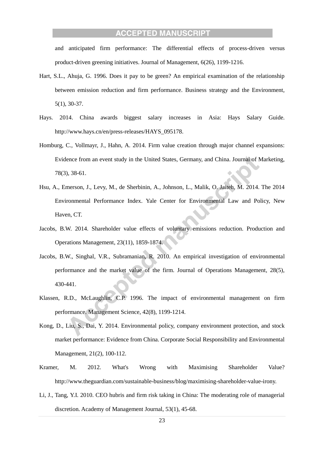and anticipated firm performance: The differential effects of process-driven versus product-driven greening initiatives. Journal of Management, 6(26), 1199-1216.

- Hart, S.L., Ahuja, G. 1996. Does it pay to be green? An empirical examination of the relationship between emission reduction and firm performance. Business strategy and the Environment, 5(1), 30-37.
- Hays. 2014. China awards biggest salary increases in Asia: Hays Salary Guide. http://www.hays.cn/en/press-releases/HAYS\_095178.
- Homburg, C., Vollmayr, J., Hahn, A. 2014. Firm value creation through major channel expansions: Evidence from an event study in the United States, Germany, and China. Journal of Marketing, 78(3), 38-61.
- Hsu, A., Emerson, J., Levy, M., de Sherbinin, A., Johnson, L., Malik, O. Jaiteh, M. 2014. The 2014 Environmental Performance Index. Yale Center for Environmental Law and Policy, New Haven, CT.
- Jacobs, B.W. 2014. Shareholder value effects of voluntary emissions reduction. Production and Operations Management, 23(11), 1859-1874.
- Jacobs, B.W., Singhal, V.R., Subramanian, R. 2010. An empirical investigation of environmental performance and the market value of the firm. Journal of Operations Management, 28(5), 430-441.
- Klassen, R.D., McLaughlin, C.P. 1996. The impact of environmental management on firm performance. Management Science, 42(8), 1199-1214.
- Kong, D., Liu, S., Dai, Y. 2014. Environmental policy, company environment protection, and stock market performance: Evidence from China. Corporate Social Responsibility and Environmental Management, 21(2), 100-112.
- Kramer, M. 2012. What's Wrong with Maximising Shareholder Value? http://www.theguardian.com/sustainable-business/blog/maximising-shareholder-value-irony.
- Li, J., Tang, Y.I. 2010. CEO hubris and firm risk taking in China: The moderating role of managerial discretion. Academy of Management Journal, 53(1), 45-68.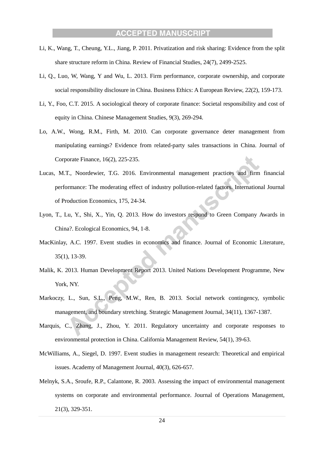- Li, K., Wang, T., Cheung, Y.L., Jiang, P. 2011. Privatization and risk sharing: Evidence from the split share structure reform in China. Review of Financial Studies, 24(7), 2499-2525.
- Li, Q., Luo, W, Wang, Y and Wu, L. 2013. Firm performance, corporate ownership, and corporate social responsibility disclosure in China. Business Ethics: A European Review, 22(2), 159-173.
- Li, Y., Foo, C.T. 2015. A sociological theory of corporate finance: Societal responsibility and cost of equity in China. Chinese Management Studies, 9(3), 269-294.
- Lo, A.W., Wong, R.M., Firth, M. 2010. Can corporate governance deter management from manipulating earnings? Evidence from related-party sales transactions in China. Journal of Corporate Finance, 16(2), 225-235.
- Lucas, M.T., Noordewier, T.G. 2016. Environmental management practices and firm financial performance: The moderating effect of industry pollution-related factors. International Journal of Production Economics, 175, 24-34.
- Lyon, T., Lu, Y., Shi, X., Yin, Q. 2013. How do investors respond to Green Company Awards in China?. Ecological Economics, 94, 1-8.
- MacKinlay, A.C. 1997. Event studies in economics and finance. Journal of Economic Literature, 35(1), 13-39.
- Malik, K. 2013. Human Development Report 2013. United Nations Development Programme, New York, NY.
- Markoczy, L., Sun, S.L., Peng, M.W., Ren, B. 2013. Social network contingency, symbolic management, and boundary stretching. Strategic Management Journal, 34(11), 1367-1387.
- Marquis, C., Zhang, J., Zhou, Y. 2011. Regulatory uncertainty and corporate responses to environmental protection in China. California Management Review, 54(1), 39-63.
- McWilliams, A., Siegel, D. 1997. Event studies in management research: Theoretical and empirical issues. Academy of Management Journal, 40(3), 626-657.
- Melnyk, S.A., Sroufe, R.P., Calantone, R. 2003. Assessing the impact of environmental management systems on corporate and environmental performance. Journal of Operations Management, 21(3), 329-351.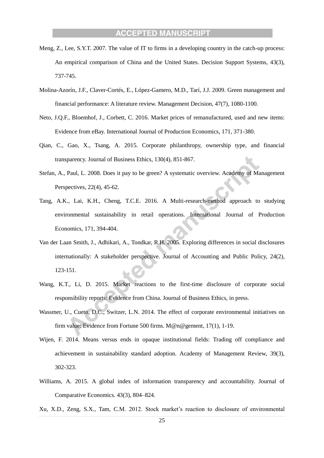- Meng, Z., Lee, S.Y.T. 2007. The value of IT to firms in a developing country in the catch-up process: An empirical comparison of China and the United States. Decision Support Systems, 43(3), 737-745.
- Molina-Azorín, J.F., Claver-Cortés, E., López-Gamero, M.D., Tarí, J.J. 2009. Green management and financial performance: A literature review. Management Decision, 47(7), 1080-1100.
- Neto, J.Q.F., Bloemhof, J., Corbett, C. 2016. Market prices of remanufactured, used and new items: Evidence from eBay. International Journal of Production Economics, 171, 371-380.
- Qian, C., Gao, X., Tsang, A. 2015. Corporate philanthropy, ownership type, and financial transparency. Journal of Business Ethics, 130(4), 851-867.
- Stefan, A., Paul, L. 2008. Does it pay to be green? A systematic overview. Academy of Management Perspectives, 22(4), 45-62.
- Tang, A.K., Lai, K.H., Cheng, T.C.E. 2016. A Multi-research-method approach to studying environmental sustainability in retail operations. International Journal of Production Economics, 171, 394-404.
- Van der Laan Smith, J., Adhikari, A., Tondkar, R.H. 2005. Exploring differences in social disclosures internationally: A stakeholder perspective. Journal of Accounting and Public Policy, 24(2), 123-151.
- Wang, K.T., Li, D. 2015. Market reactions to the first-time disclosure of corporate social responsibility reports: Evidence from China. Journal of Business Ethics, in press.
- Wassmer, U., Cueto, D.C., Switzer, L.N. 2014. The effect of corporate environmental initiatives on firm value: Evidence from Fortune 500 firms. M@n@gement, 17(1), 1-19.
- Wijen, F. 2014. Means versus ends in opaque institutional fields: Trading off compliance and achievement in sustainability standard adoption. Academy of Management Review, 39(3), 302-323.
- Williams, A. 2015. A global index of information transparency and accountability. Journal of Comparative Economics. 43(3), 804–824.

Xu, X.D., Zeng, S.X., Tam, C.M. 2012. Stock market's reaction to disclosure of environmental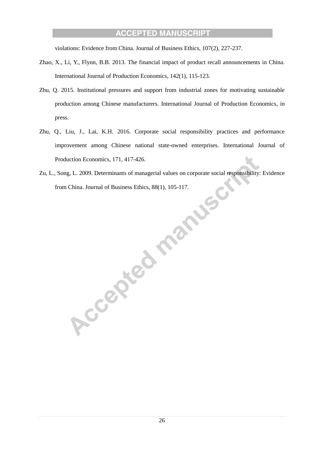violations: Evidence from China. Journal of Business Ethics, 107(2), 227-237.

- Zhao, X., Li, Y., Flynn, B.B. 2013. The financial impact of product recall announcements in China. International Journal of Production Economics, 142(1), 115-123.
- Zhu, Q. 2015. Institutional pressures and support from industrial zones for motivating sustainable production among Chinese manufacturers. International Journal of Production Economics, in press.
- Zhu, Q., Liu, J., Lai, K.H. 2016. Corporate social responsibility practices and performance improvement among Chinese national state-owned enterprises. International Journal of
- Production Economics, 171, 417-426.<br>
Song, L. 2009. Determinants of managerial values on corporate social if<br>
from China. Journal of Business Ethics, 88(1), 105-117.<br>
Contra Journal of Business Ethics, 88(1), 105-117. Zu, L., Song, L. 2009. Determinants of managerial values on corporate social responsibility: Evidence from China. Journal of Business Ethics, 88(1), 105-117.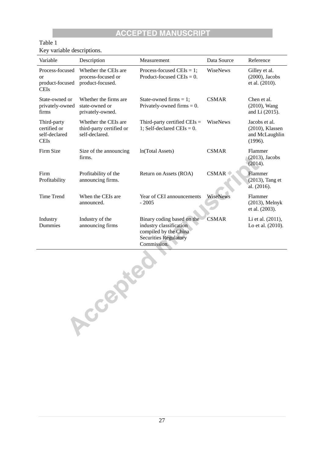| Variable                                                    | Description                                                        | Measurement                                                                                                                   | Data Source  | Reference                                                        |
|-------------------------------------------------------------|--------------------------------------------------------------------|-------------------------------------------------------------------------------------------------------------------------------|--------------|------------------------------------------------------------------|
| Process-focused<br>or<br>product-focused<br><b>CEIs</b>     | Whether the CEIs are<br>process-focused or<br>product-focused.     | Process-focused CEIs $= 1$ ;<br>Product-focused CEIs $= 0$ .                                                                  | WiseNews     | Gilley et al.<br>$(2000)$ , Jacobs<br>et al. (2010).             |
| State-owned or<br>privately-owned<br>firms                  | Whether the firms are<br>state-owned or<br>privately-owned.        | State-owned firms $= 1$ ;<br>Privately-owned firms $= 0$ .                                                                    | <b>CSMAR</b> | Chen et al.<br>$(2010)$ , Wang<br>and Li (2015).                 |
| Third-party<br>certified or<br>self-declared<br><b>CEIs</b> | Whether the CEIs are<br>third-party certified or<br>self-declared. | Third-party certified $CEIs =$<br>1; Self-declared CEIs $= 0$ .                                                               | WiseNews     | Jacobs et al.<br>$(2010)$ , Klassen<br>and McLaughlin<br>(1996). |
| Firm Size                                                   | Size of the announcing<br>firms.                                   | ln(Total Assets)                                                                                                              | <b>CSMAR</b> | Flammer<br>$(2013)$ , Jacobs<br>(2014).                          |
| Firm<br>Profitability                                       | Profitability of the<br>announcing firms.                          | Return on Assets (ROA)                                                                                                        | <b>CSMAR</b> | Flammer<br>$(2013)$ , Tang et<br>al. $(2016)$ .                  |
| <b>Time Trend</b>                                           | When the CEIs are<br>announced.                                    | Year of CEI announcements<br>$-2005$                                                                                          | WiseNews     | Flammer<br>$(2013)$ , Melnyk<br>et al. (2003).                   |
| Industry<br>Dummies                                         | Industry of the<br>announcing firms                                | Binary coding based on the<br>industry classification<br>compiled by the China<br><b>Securities Regulatory</b><br>Commission. | <b>CSMAR</b> | Li et al. (2011),<br>Lo et al. (2010).                           |

Table 1 Key variable descriptions.

27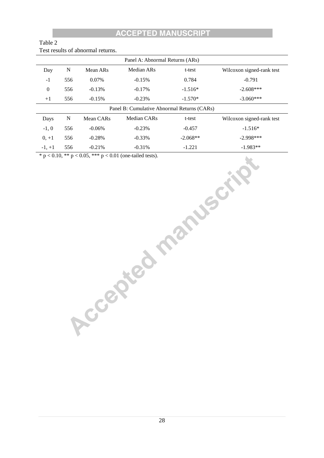| Panel A: Abnormal Returns (ARs) |     |           |                                             |            |                           |  |  |
|---------------------------------|-----|-----------|---------------------------------------------|------------|---------------------------|--|--|
| Day                             | N   | Mean ARs  | Median ARs                                  | t-test     | Wilcoxon signed-rank test |  |  |
| $-1$                            | 556 | $0.07\%$  | $-0.15%$                                    | 0.784      | $-0.791$                  |  |  |
| $\theta$                        | 556 | $-0.13%$  | $-0.17\%$                                   | $-1.516*$  | $-2.608***$               |  |  |
| $+1$                            | 556 | $-0.15%$  | $-0.23%$                                    | $-1.570*$  | $-3.060***$               |  |  |
|                                 |     |           | Panel B: Cumulative Abnormal Returns (CARs) |            |                           |  |  |
| Days                            | N   | Mean CARs | Median CARs                                 | t-test     | Wilcoxon signed-rank test |  |  |
| $-1, 0$                         | 556 | $-0.06\%$ | $-0.23%$                                    | $-0.457$   | $-1.516*$                 |  |  |
| $0, +1$                         | 556 | $-0.28%$  | $-0.33\%$                                   | $-2.068**$ | $-2.998***$               |  |  |
| $-1, +1$                        | 556 | $-0.21%$  | $-0.31\%$                                   | $-1.221$   | $-1.983**$                |  |  |

| Table 2                           |
|-----------------------------------|
| Test results of abnormal returns. |

\*  $p < 0.10$ , \*\*  $p < 0.05$ , \*\*\*  $p < 0.01$  (one-tailed tests).

28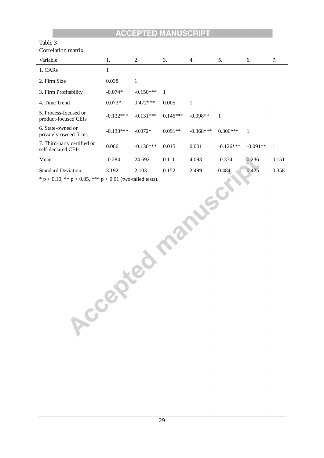| 1 UU 10 J                                         |             |             |            |             |             |            |       |
|---------------------------------------------------|-------------|-------------|------------|-------------|-------------|------------|-------|
| Correlation matrix.                               |             |             |            |             |             |            |       |
| Variable                                          | 1.          | 2.          | 3.         | 4.          | 5.          | 6.         | 7.    |
| 1. CARs                                           |             |             |            |             |             |            |       |
| 2. Firm Size                                      | 0.038       | 1           |            |             |             |            |       |
| 3. Firm Profitability                             | $-0.074*$   | $-0.150***$ | 1          |             |             |            |       |
| 4. Time Trend                                     | $0.073*$    | $0.472***$  | 0.005      | 1           |             |            |       |
| 5. Process-focused or<br>product-focused CEIs     | $-0.132***$ | $-0.131***$ | $0.145***$ | $-0.098**$  | 1           |            |       |
| 6. State-owned or<br>privately-owned firms        | $-0.133***$ | $-0.072*$   | $0.091**$  | $-0.368***$ | $0.306***$  | 1          |       |
| 7. Third-party certified or<br>self-declared CEIs | 0.066       | $-0.130***$ | 0.015      | 0.001       | $-0.126***$ | $-0.091**$ | 1     |
| Mean                                              | $-0.284$    | 24.692      | 0.111      | 4.093       | $-0.374$    | 0.236      | 0.151 |
| <b>Standard Deviation</b>                         | 3.192       | 2.103       | 0.152      | 2.499       | 0.484       | 0.425      | 0.358 |

\* p < 0.10, \*\* p < 0.05, \*\*\* p < 0.01 (two-tailed tests).

Table 3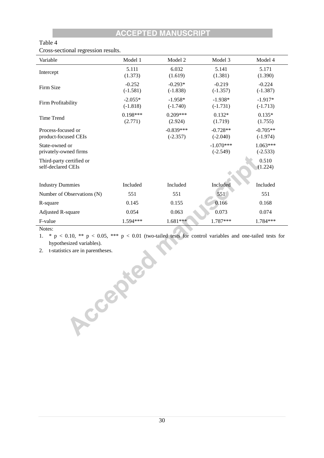### Table 4

|  | Cross-sectional regression results. |  |  |
|--|-------------------------------------|--|--|
|--|-------------------------------------|--|--|

| Variable                                       | Model 1                 | Model 2                   | Model 3                   | Model 4                  |
|------------------------------------------------|-------------------------|---------------------------|---------------------------|--------------------------|
| Intercept                                      | 5.111<br>(1.373)        | 6.032<br>(1.619)          | 5.141<br>(1.381)          | 5.171<br>(1.390)         |
| Firm Size                                      | $-0.252$<br>$(-1.581)$  | $-0.293*$<br>$(-1.838)$   | $-0.219$<br>$(-1.357)$    | $-0.224$<br>$(-1.387)$   |
| Firm Profitability                             | $-2.055*$<br>$(-1.818)$ | $-1.958*$<br>$(-1.740)$   | $-1.938*$<br>$(-1.731)$   | $-1.917*$<br>$(-1.713)$  |
| <b>Time Trend</b>                              | $0.198***$<br>(2.771)   | $0.209***$<br>(2.924)     | $0.132*$<br>(1.719)       | $0.135*$<br>(1.755)      |
| Process-focused or<br>product-focused CEIs     |                         | $-0.839***$<br>$(-2.357)$ | $-0.728**$<br>$(-2.040)$  | $-0.705**$<br>$(-1.974)$ |
| State-owned or<br>privately-owned firms        |                         |                           | $-1.070***$<br>$(-2.549)$ | $1.063***$<br>$(-2.533)$ |
| Third-party certified or<br>self-declared CEIs |                         |                           |                           | 0.510<br>(1.224)         |
| <b>Industry Dummies</b>                        | Included                | Included                  | Included                  | Included                 |
| Number of Observations (N)                     | 551                     | 551                       | 551                       | 551                      |
| R-square                                       | 0.145                   | 0.155                     | 0.166                     | 0.168                    |
| <b>Adjusted R-square</b>                       | 0.054                   | 0.063                     | 0.073                     | 0.074                    |
| F-value                                        | 1.594 ***               | $1.681***$                | 1.787***                  | 1.784***                 |

Notes:

Notes:<br>  $1.$  \*  $p < 0.10$ , \*\*  $p < 0.05$ , \*\*\*  $p < 0.01$  (two-tailed tests for control variables and one-tailed tests for hypothesized variables).<br>
t-statistics are in parentheses.<br>
and the contract of the contract of the contract of the contract of the contract of the contract of the contract of the contract of the contract of the contract o

2. t-statistics are in parentheses.